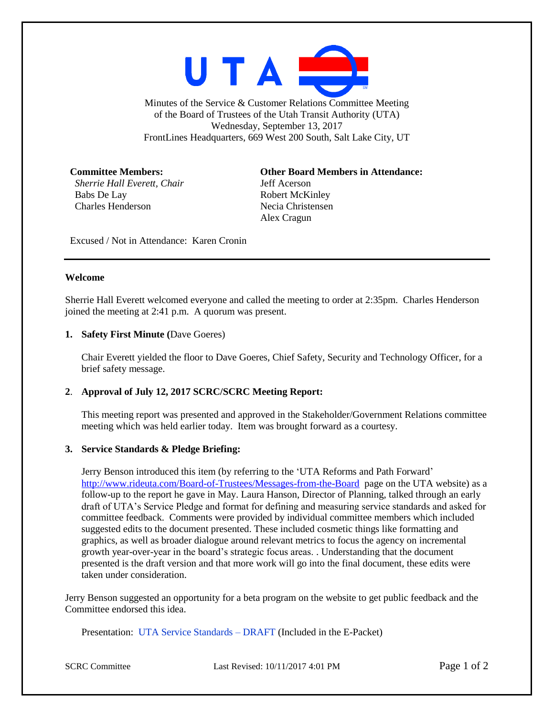

Minutes of the Service & Customer Relations Committee Meeting of the Board of Trustees of the Utah Transit Authority (UTA) Wednesday, September 13, 2017 FrontLines Headquarters, 669 West 200 South, Salt Lake City, UT

*Sherrie Hall Everett, Chair* Jeff Acerson Babs De Lay Robert McKinley Charles Henderson Necia Christensen

**Committee Members: Other Board Members in Attendance:** Alex Cragun

Excused / Not in Attendance: Karen Cronin

#### **Welcome**

Sherrie Hall Everett welcomed everyone and called the meeting to order at 2:35pm. Charles Henderson joined the meeting at 2:41 p.m. A quorum was present.

#### **1. Safety First Minute (**Dave Goeres)

Chair Everett yielded the floor to Dave Goeres, Chief Safety, Security and Technology Officer, for a brief safety message.

## **2**. **Approval of July 12, 2017 SCRC/SCRC Meeting Report:**

This meeting report was presented and approved in the Stakeholder/Government Relations committee meeting which was held earlier today. Item was brought forward as a courtesy.

## **3. Service Standards & Pledge Briefing:**

Jerry Benson introduced this item (by referring to the 'UTA Reforms and Path Forward' <http://www.rideuta.com/Board-of-Trustees/Messages-from-the-Board> page on the UTA website) as a follow-up to the report he gave in May. Laura Hanson, Director of Planning, talked through an early draft of UTA's Service Pledge and format for defining and measuring service standards and asked for committee feedback. Comments were provided by individual committee members which included suggested edits to the document presented. These included cosmetic things like formatting and graphics, as well as broader dialogue around relevant metrics to focus the agency on incremental growth year-over-year in the board's strategic focus areas. . Understanding that the document presented is the draft version and that more work will go into the final document, these edits were taken under consideration.

Jerry Benson suggested an opportunity for a beta program on the website to get public feedback and the Committee endorsed this idea.

Presentation: UTA Service Standards – DRAFT (Included in the E-Packet)

SCRC Committee Last Revised: 10/11/2017 4:01 PM Page 1 of 2